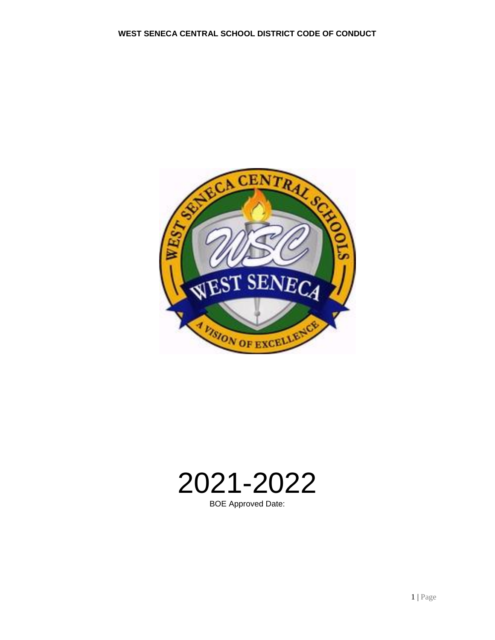



BOE Approved Date: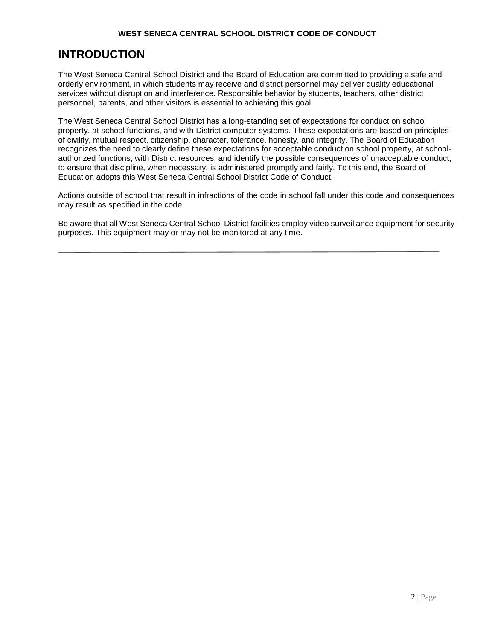# **INTRODUCTION**

The West Seneca Central School District and the Board of Education are committed to providing a safe and orderly environment, in which students may receive and district personnel may deliver quality educational services without disruption and interference. Responsible behavior by students, teachers, other district personnel, parents, and other visitors is essential to achieving this goal.

The West Seneca Central School District has a long-standing set of expectations for conduct on school property, at school functions, and with District computer systems. These expectations are based on principles of civility, mutual respect, citizenship, character, tolerance, honesty, and integrity. The Board of Education recognizes the need to clearly define these expectations for acceptable conduct on school property, at schoolauthorized functions, with District resources, and identify the possible consequences of unacceptable conduct, to ensure that discipline, when necessary, is administered promptly and fairly. To this end, the Board of Education adopts this West Seneca Central School District Code of Conduct.

Actions outside of school that result in infractions of the code in school fall under this code and consequences may result as specified in the code.

Be aware that all West Seneca Central School District facilities employ video surveillance equipment for security purposes. This equipment may or may not be monitored at any time.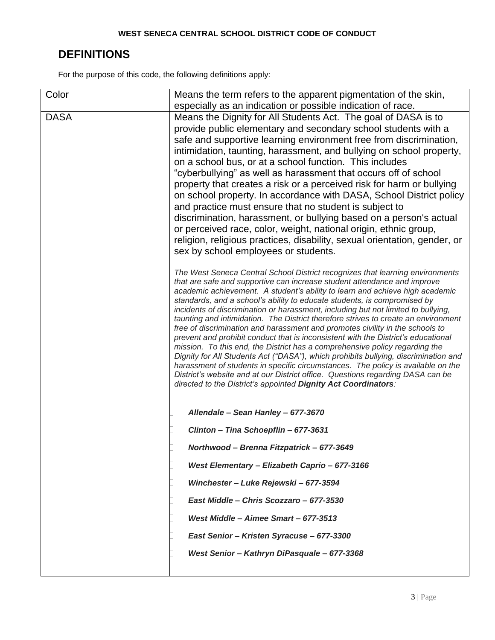# **DEFINITIONS**

For the purpose of this code, the following definitions apply:

| Color       | Means the term refers to the apparent pigmentation of the skin,                                                                                                     |  |
|-------------|---------------------------------------------------------------------------------------------------------------------------------------------------------------------|--|
|             | especially as an indication or possible indication of race.                                                                                                         |  |
| <b>DASA</b> | Means the Dignity for All Students Act. The goal of DASA is to                                                                                                      |  |
|             | provide public elementary and secondary school students with a                                                                                                      |  |
|             | safe and supportive learning environment free from discrimination,                                                                                                  |  |
|             | intimidation, taunting, harassment, and bullying on school property,                                                                                                |  |
|             | on a school bus, or at a school function. This includes                                                                                                             |  |
|             | "cyberbullying" as well as harassment that occurs off of school                                                                                                     |  |
|             |                                                                                                                                                                     |  |
|             | property that creates a risk or a perceived risk for harm or bullying                                                                                               |  |
|             | on school property. In accordance with DASA, School District policy                                                                                                 |  |
|             | and practice must ensure that no student is subject to                                                                                                              |  |
|             | discrimination, harassment, or bullying based on a person's actual                                                                                                  |  |
|             | or perceived race, color, weight, national origin, ethnic group,                                                                                                    |  |
|             | religion, religious practices, disability, sexual orientation, gender, or                                                                                           |  |
|             | sex by school employees or students.                                                                                                                                |  |
|             | The West Seneca Central School District recognizes that learning environments                                                                                       |  |
|             | that are safe and supportive can increase student attendance and improve                                                                                            |  |
|             | academic achievement. A student's ability to learn and achieve high academic                                                                                        |  |
|             | standards, and a school's ability to educate students, is compromised by                                                                                            |  |
|             | incidents of discrimination or harassment, including but not limited to bullying,                                                                                   |  |
|             | taunting and intimidation. The District therefore strives to create an environment<br>free of discrimination and harassment and promotes civility in the schools to |  |
|             | prevent and prohibit conduct that is inconsistent with the District's educational                                                                                   |  |
|             | mission. To this end, the District has a comprehensive policy regarding the                                                                                         |  |
|             | Dignity for All Students Act ("DASA"), which prohibits bullying, discrimination and                                                                                 |  |
|             | harassment of students in specific circumstances. The policy is available on the                                                                                    |  |
|             | District's website and at our District office. Questions regarding DASA can be<br>directed to the District's appointed Dignity Act Coordinators:                    |  |
|             |                                                                                                                                                                     |  |
|             | Allendale - Sean Hanley - 677-3670                                                                                                                                  |  |
|             | Clinton - Tina Schoepflin - 677-3631                                                                                                                                |  |
|             | Northwood - Brenna Fitzpatrick - 677-3649                                                                                                                           |  |
|             | West Elementary - Elizabeth Caprio - 677-3166                                                                                                                       |  |
|             | Winchester - Luke Rejewski - 677-3594                                                                                                                               |  |
|             |                                                                                                                                                                     |  |
|             | East Middle - Chris Scozzaro - 677-3530                                                                                                                             |  |
|             | West Middle - Aimee Smart - 677-3513                                                                                                                                |  |
|             | East Senior - Kristen Syracuse - 677-3300                                                                                                                           |  |
|             | West Senior - Kathryn DiPasquale - 677-3368                                                                                                                         |  |
|             |                                                                                                                                                                     |  |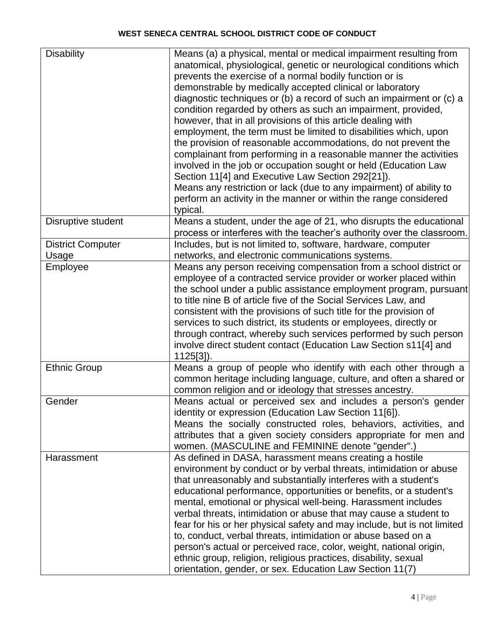| <b>Disability</b>        | Means (a) a physical, mental or medical impairment resulting from       |
|--------------------------|-------------------------------------------------------------------------|
|                          | anatomical, physiological, genetic or neurological conditions which     |
|                          | prevents the exercise of a normal bodily function or is                 |
|                          | demonstrable by medically accepted clinical or laboratory               |
|                          | diagnostic techniques or (b) a record of such an impairment or (c) a    |
|                          | condition regarded by others as such an impairment, provided,           |
|                          |                                                                         |
|                          | however, that in all provisions of this article dealing with            |
|                          | employment, the term must be limited to disabilities which, upon        |
|                          | the provision of reasonable accommodations, do not prevent the          |
|                          | complainant from performing in a reasonable manner the activities       |
|                          | involved in the job or occupation sought or held (Education Law         |
|                          | Section 11[4] and Executive Law Section 292[21]).                       |
|                          | Means any restriction or lack (due to any impairment) of ability to     |
|                          | perform an activity in the manner or within the range considered        |
|                          | typical.                                                                |
| Disruptive student       | Means a student, under the age of 21, who disrupts the educational      |
|                          | process or interferes with the teacher's authority over the classroom.  |
| <b>District Computer</b> | Includes, but is not limited to, software, hardware, computer           |
| Usage                    | networks, and electronic communications systems.                        |
| Employee                 | Means any person receiving compensation from a school district or       |
|                          | employee of a contracted service provider or worker placed within       |
|                          | the school under a public assistance employment program, pursuant       |
|                          |                                                                         |
|                          | to title nine B of article five of the Social Services Law, and         |
|                          | consistent with the provisions of such title for the provision of       |
|                          | services to such district, its students or employees, directly or       |
|                          | through contract, whereby such services performed by such person        |
|                          | involve direct student contact (Education Law Section s11[4] and        |
|                          | $1125[3]$ .                                                             |
| <b>Ethnic Group</b>      | Means a group of people who identify with each other through a          |
|                          | common heritage including language, culture, and often a shared or      |
|                          | common religion and or ideology that stresses ancestry.                 |
| Gender                   | Means actual or perceived sex and includes a person's gender            |
|                          | identity or expression (Education Law Section 11[6]).                   |
|                          | Means the socially constructed roles, behaviors, activities, and        |
|                          | attributes that a given society considers appropriate for men and       |
|                          | women. (MASCULINE and FEMININE denote "gender".)                        |
| Harassment               | As defined in DASA, harassment means creating a hostile                 |
|                          | environment by conduct or by verbal threats, intimidation or abuse      |
|                          | that unreasonably and substantially interferes with a student's         |
|                          |                                                                         |
|                          | educational performance, opportunities or benefits, or a student's      |
|                          | mental, emotional or physical well-being. Harassment includes           |
|                          | verbal threats, intimidation or abuse that may cause a student to       |
|                          | fear for his or her physical safety and may include, but is not limited |
|                          | to, conduct, verbal threats, intimidation or abuse based on a           |
|                          | person's actual or perceived race, color, weight, national origin,      |
|                          | ethnic group, religion, religious practices, disability, sexual         |
|                          | orientation, gender, or sex. Education Law Section 11(7)                |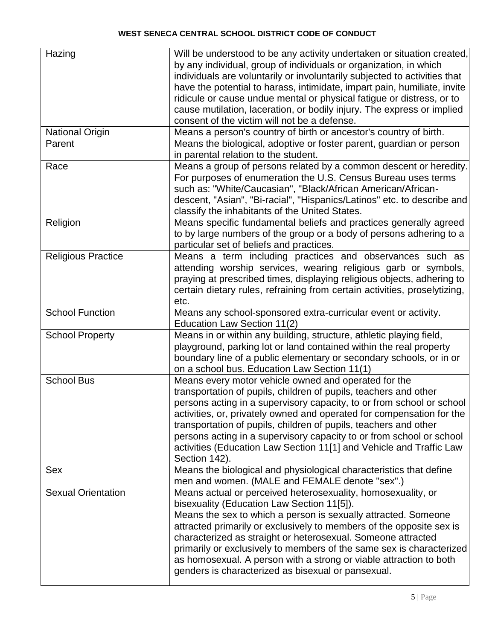| Hazing                    | Will be understood to be any activity undertaken or situation created,    |  |
|---------------------------|---------------------------------------------------------------------------|--|
|                           | by any individual, group of individuals or organization, in which         |  |
|                           | individuals are voluntarily or involuntarily subjected to activities that |  |
|                           | have the potential to harass, intimidate, impart pain, humiliate, invite  |  |
|                           | ridicule or cause undue mental or physical fatigue or distress, or to     |  |
|                           | cause mutilation, laceration, or bodily injury. The express or implied    |  |
|                           | consent of the victim will not be a defense.                              |  |
| <b>National Origin</b>    | Means a person's country of birth or ancestor's country of birth.         |  |
| Parent                    | Means the biological, adoptive or foster parent, guardian or person       |  |
|                           | in parental relation to the student.                                      |  |
| Race                      | Means a group of persons related by a common descent or heredity.         |  |
|                           | For purposes of enumeration the U.S. Census Bureau uses terms             |  |
|                           | such as: "White/Caucasian", "Black/African American/African-              |  |
|                           | descent, "Asian", "Bi-racial", "Hispanics/Latinos" etc. to describe and   |  |
|                           | classify the inhabitants of the United States.                            |  |
| Religion                  | Means specific fundamental beliefs and practices generally agreed         |  |
|                           | to by large numbers of the group or a body of persons adhering to a       |  |
|                           | particular set of beliefs and practices.                                  |  |
| <b>Religious Practice</b> | Means a term including practices and observances such as                  |  |
|                           | attending worship services, wearing religious garb or symbols,            |  |
|                           | praying at prescribed times, displaying religious objects, adhering to    |  |
|                           | certain dietary rules, refraining from certain activities, proselytizing, |  |
|                           | etc.                                                                      |  |
| <b>School Function</b>    | Means any school-sponsored extra-curricular event or activity.            |  |
|                           | Education Law Section 11(2)                                               |  |
| <b>School Property</b>    | Means in or within any building, structure, athletic playing field,       |  |
|                           | playground, parking lot or land contained within the real property        |  |
|                           | boundary line of a public elementary or secondary schools, or in or       |  |
|                           | on a school bus. Education Law Section 11(1)                              |  |
| <b>School Bus</b>         | Means every motor vehicle owned and operated for the                      |  |
|                           | transportation of pupils, children of pupils, teachers and other          |  |
|                           | persons acting in a supervisory capacity, to or from school or school     |  |
|                           | activities, or, privately owned and operated for compensation for the     |  |
|                           | transportation of pupils, children of pupils, teachers and other          |  |
|                           | persons acting in a supervisory capacity to or from school or school      |  |
|                           | activities (Education Law Section 11[1] and Vehicle and Traffic Law       |  |
|                           | Section 142).                                                             |  |
| Sex                       | Means the biological and physiological characteristics that define        |  |
|                           | men and women. (MALE and FEMALE denote "sex".)                            |  |
| <b>Sexual Orientation</b> | Means actual or perceived heterosexuality, homosexuality, or              |  |
|                           | bisexuality (Education Law Section 11[5]).                                |  |
|                           | Means the sex to which a person is sexually attracted. Someone            |  |
|                           | attracted primarily or exclusively to members of the opposite sex is      |  |
|                           | characterized as straight or heterosexual. Someone attracted              |  |
|                           | primarily or exclusively to members of the same sex is characterized      |  |
|                           | as homosexual. A person with a strong or viable attraction to both        |  |
|                           | genders is characterized as bisexual or pansexual.                        |  |
|                           |                                                                           |  |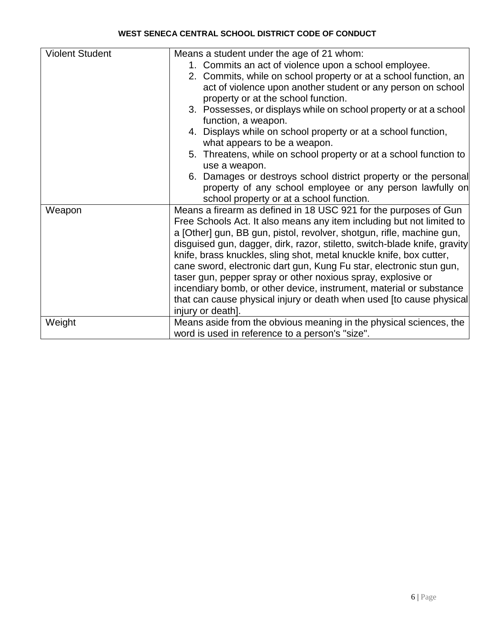| <b>Violent Student</b> | Means a student under the age of 21 whom:                                                                                                                                                                                                                                                                                                                                                                                                                                                                                                                                                |  |  |  |  |
|------------------------|------------------------------------------------------------------------------------------------------------------------------------------------------------------------------------------------------------------------------------------------------------------------------------------------------------------------------------------------------------------------------------------------------------------------------------------------------------------------------------------------------------------------------------------------------------------------------------------|--|--|--|--|
|                        | 1. Commits an act of violence upon a school employee.                                                                                                                                                                                                                                                                                                                                                                                                                                                                                                                                    |  |  |  |  |
|                        | 2. Commits, while on school property or at a school function, an                                                                                                                                                                                                                                                                                                                                                                                                                                                                                                                         |  |  |  |  |
|                        |                                                                                                                                                                                                                                                                                                                                                                                                                                                                                                                                                                                          |  |  |  |  |
|                        | act of violence upon another student or any person on school                                                                                                                                                                                                                                                                                                                                                                                                                                                                                                                             |  |  |  |  |
|                        | property or at the school function.                                                                                                                                                                                                                                                                                                                                                                                                                                                                                                                                                      |  |  |  |  |
|                        | 3. Possesses, or displays while on school property or at a school                                                                                                                                                                                                                                                                                                                                                                                                                                                                                                                        |  |  |  |  |
|                        | function, a weapon.                                                                                                                                                                                                                                                                                                                                                                                                                                                                                                                                                                      |  |  |  |  |
|                        | 4. Displays while on school property or at a school function,                                                                                                                                                                                                                                                                                                                                                                                                                                                                                                                            |  |  |  |  |
|                        | what appears to be a weapon.                                                                                                                                                                                                                                                                                                                                                                                                                                                                                                                                                             |  |  |  |  |
|                        | 5. Threatens, while on school property or at a school function to                                                                                                                                                                                                                                                                                                                                                                                                                                                                                                                        |  |  |  |  |
|                        | use a weapon.                                                                                                                                                                                                                                                                                                                                                                                                                                                                                                                                                                            |  |  |  |  |
|                        | 6. Damages or destroys school district property or the personal                                                                                                                                                                                                                                                                                                                                                                                                                                                                                                                          |  |  |  |  |
|                        | property of any school employee or any person lawfully on                                                                                                                                                                                                                                                                                                                                                                                                                                                                                                                                |  |  |  |  |
|                        | school property or at a school function.                                                                                                                                                                                                                                                                                                                                                                                                                                                                                                                                                 |  |  |  |  |
| Weapon                 | Means a firearm as defined in 18 USC 921 for the purposes of Gun                                                                                                                                                                                                                                                                                                                                                                                                                                                                                                                         |  |  |  |  |
|                        | Free Schools Act. It also means any item including but not limited to<br>a [Other] gun, BB gun, pistol, revolver, shotgun, rifle, machine gun,<br>disguised gun, dagger, dirk, razor, stiletto, switch-blade knife, gravity<br>knife, brass knuckles, sling shot, metal knuckle knife, box cutter,<br>cane sword, electronic dart gun, Kung Fu star, electronic stun gun,<br>taser gun, pepper spray or other noxious spray, explosive or<br>incendiary bomb, or other device, instrument, material or substance<br>that can cause physical injury or death when used [to cause physical |  |  |  |  |
|                        |                                                                                                                                                                                                                                                                                                                                                                                                                                                                                                                                                                                          |  |  |  |  |
|                        |                                                                                                                                                                                                                                                                                                                                                                                                                                                                                                                                                                                          |  |  |  |  |
|                        |                                                                                                                                                                                                                                                                                                                                                                                                                                                                                                                                                                                          |  |  |  |  |
|                        |                                                                                                                                                                                                                                                                                                                                                                                                                                                                                                                                                                                          |  |  |  |  |
|                        |                                                                                                                                                                                                                                                                                                                                                                                                                                                                                                                                                                                          |  |  |  |  |
|                        |                                                                                                                                                                                                                                                                                                                                                                                                                                                                                                                                                                                          |  |  |  |  |
|                        |                                                                                                                                                                                                                                                                                                                                                                                                                                                                                                                                                                                          |  |  |  |  |
|                        |                                                                                                                                                                                                                                                                                                                                                                                                                                                                                                                                                                                          |  |  |  |  |
|                        | injury or death].                                                                                                                                                                                                                                                                                                                                                                                                                                                                                                                                                                        |  |  |  |  |
| Weight                 | Means aside from the obvious meaning in the physical sciences, the<br>word is used in reference to a person's "size".                                                                                                                                                                                                                                                                                                                                                                                                                                                                    |  |  |  |  |
|                        |                                                                                                                                                                                                                                                                                                                                                                                                                                                                                                                                                                                          |  |  |  |  |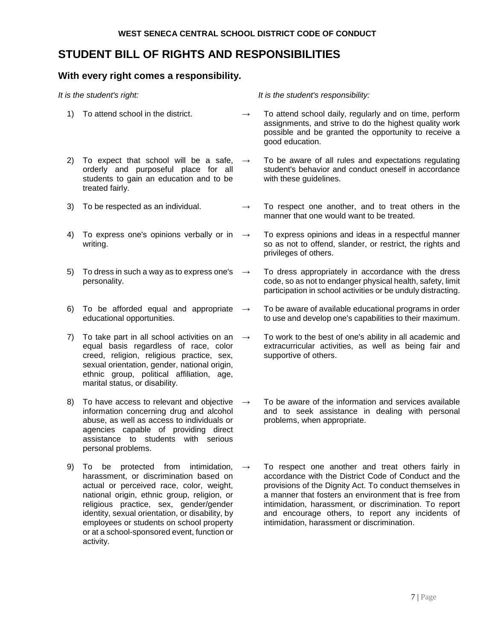## **STUDENT BILL OF RIGHTS AND RESPONSIBILITIES**

## **With every right comes a responsibility.**

| It is the student's right: |                                                                                                                                                                                                                                                                                                                                                                                    |                   | It is the student's responsibility:                                                                                                                                                                                                                                                                                                                                                         |
|----------------------------|------------------------------------------------------------------------------------------------------------------------------------------------------------------------------------------------------------------------------------------------------------------------------------------------------------------------------------------------------------------------------------|-------------------|---------------------------------------------------------------------------------------------------------------------------------------------------------------------------------------------------------------------------------------------------------------------------------------------------------------------------------------------------------------------------------------------|
| 1)                         | To attend school in the district.                                                                                                                                                                                                                                                                                                                                                  | $\rightarrow$     | To attend school daily, regularly and on time, perform<br>assignments, and strive to do the highest quality work<br>possible and be granted the opportunity to receive a<br>good education.                                                                                                                                                                                                 |
| 2)                         | To expect that school will be a safe,<br>orderly and purposeful place for all<br>students to gain an education and to be<br>treated fairly.                                                                                                                                                                                                                                        | $\longrightarrow$ | To be aware of all rules and expectations regulating<br>student's behavior and conduct oneself in accordance<br>with these guidelines.                                                                                                                                                                                                                                                      |
| 3)                         | To be respected as an individual.                                                                                                                                                                                                                                                                                                                                                  | $\longrightarrow$ | To respect one another, and to treat others in the<br>manner that one would want to be treated.                                                                                                                                                                                                                                                                                             |
| 4)                         | To express one's opinions verbally or in $\rightarrow$<br>writing.                                                                                                                                                                                                                                                                                                                 |                   | To express opinions and ideas in a respectful manner<br>so as not to offend, slander, or restrict, the rights and<br>privileges of others.                                                                                                                                                                                                                                                  |
| 5)                         | To dress in such a way as to express one's<br>personality.                                                                                                                                                                                                                                                                                                                         | $\longrightarrow$ | To dress appropriately in accordance with the dress<br>code, so as not to endanger physical health, safety, limit<br>participation in school activities or be unduly distracting.                                                                                                                                                                                                           |
| 6)                         | To be afforded equal and appropriate<br>educational opportunities.                                                                                                                                                                                                                                                                                                                 | $\longrightarrow$ | To be aware of available educational programs in order<br>to use and develop one's capabilities to their maximum.                                                                                                                                                                                                                                                                           |
| 7)                         | To take part in all school activities on an<br>equal basis regardless of race, color<br>creed, religion, religious practice, sex,<br>sexual orientation, gender, national origin,<br>ethnic group, political affiliation, age,<br>marital status, or disability.                                                                                                                   | $\longrightarrow$ | To work to the best of one's ability in all academic and<br>extracurricular activities, as well as being fair and<br>supportive of others.                                                                                                                                                                                                                                                  |
| 8)                         | To have access to relevant and objective<br>information concerning drug and alcohol<br>abuse, as well as access to individuals or<br>agencies capable of providing direct<br>assistance to students with serious<br>personal problems.                                                                                                                                             | $\longrightarrow$ | To be aware of the information and services available<br>and to seek assistance in dealing with personal<br>problems, when appropriate.                                                                                                                                                                                                                                                     |
| 9)                         | be protected from<br>intimidation,<br>To<br>harassment, or discrimination based on<br>actual or perceived race, color, weight,<br>national origin, ethnic group, religion, or<br>religious practice, sex, gender/gender<br>identity, sexual orientation, or disability, by<br>employees or students on school property<br>or at a school-sponsored event, function or<br>activity. | $\rightarrow$     | To respect one another and treat others fairly in<br>accordance with the District Code of Conduct and the<br>provisions of the Dignity Act. To conduct themselves in<br>a manner that fosters an environment that is free from<br>intimidation, harassment, or discrimination. To report<br>and encourage others, to report any incidents of<br>intimidation, harassment or discrimination. |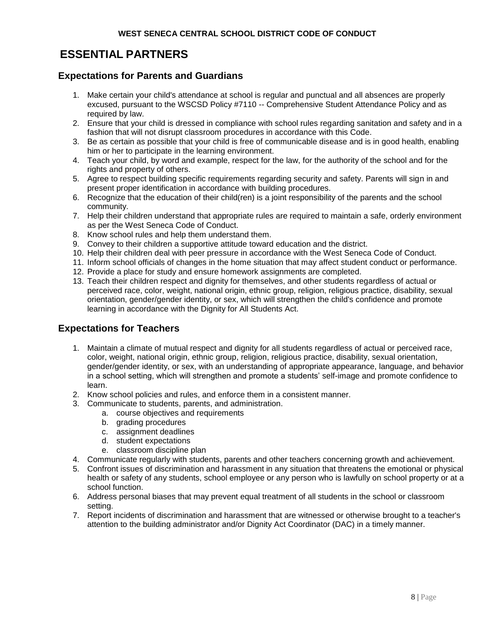# **ESSENTIAL PARTNERS**

## **Expectations for Parents and Guardians**

- 1. Make certain your child's attendance at school is regular and punctual and all absences are properly excused, pursuant to the WSCSD Policy #7110 -- Comprehensive Student Attendance Policy and as required by law.
- 2. Ensure that your child is dressed in compliance with school rules regarding sanitation and safety and in a fashion that will not disrupt classroom procedures in accordance with this Code.
- 3. Be as certain as possible that your child is free of communicable disease and is in good health, enabling him or her to participate in the learning environment.
- 4. Teach your child, by word and example, respect for the law, for the authority of the school and for the rights and property of others.
- 5. Agree to respect building specific requirements regarding security and safety. Parents will sign in and present proper identification in accordance with building procedures.
- 6. Recognize that the education of their child(ren) is a joint responsibility of the parents and the school community.
- 7. Help their children understand that appropriate rules are required to maintain a safe, orderly environment as per the West Seneca Code of Conduct.
- 8. Know school rules and help them understand them.
- 9. Convey to their children a supportive attitude toward education and the district.
- 10. Help their children deal with peer pressure in accordance with the West Seneca Code of Conduct.
- 11. Inform school officials of changes in the home situation that may affect student conduct or performance.
- 12. Provide a place for study and ensure homework assignments are completed.
- 13. Teach their children respect and dignity for themselves, and other students regardless of actual or perceived race, color, weight, national origin, ethnic group, religion, religious practice, disability, sexual orientation, gender/gender identity, or sex, which will strengthen the child's confidence and promote learning in accordance with the Dignity for All Students Act.

## **Expectations for Teachers**

- 1. Maintain a climate of mutual respect and dignity for all students regardless of actual or perceived race, color, weight, national origin, ethnic group, religion, religious practice, disability, sexual orientation, gender/gender identity, or sex, with an understanding of appropriate appearance, language, and behavior in a school setting, which will strengthen and promote a students' self-image and promote confidence to learn.
- 2. Know school policies and rules, and enforce them in a consistent manner.
- 3. Communicate to students, parents, and administration.
	- a. course objectives and requirements
	- b. grading procedures
	- c. assignment deadlines
	- d. student expectations
	- e. classroom discipline plan
- 4. Communicate regularly with students, parents and other teachers concerning growth and achievement.
- 5. Confront issues of discrimination and harassment in any situation that threatens the emotional or physical health or safety of any students, school employee or any person who is lawfully on school property or at a school function.
- 6. Address personal biases that may prevent equal treatment of all students in the school or classroom setting.
- 7. Report incidents of discrimination and harassment that are witnessed or otherwise brought to a teacher's attention to the building administrator and/or Dignity Act Coordinator (DAC) in a timely manner.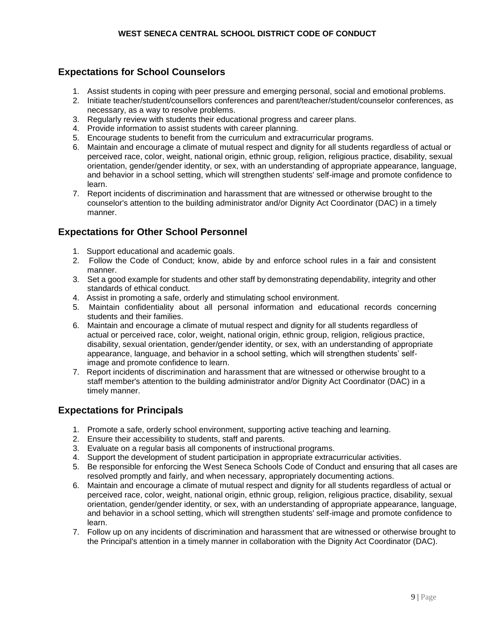## **Expectations for School Counselors**

- 1. Assist students in coping with peer pressure and emerging personal, social and emotional problems.
- 2. Initiate teacher/student/counsellors conferences and parent/teacher/student/counselor conferences, as necessary, as a way to resolve problems.
- 3. Regularly review with students their educational progress and career plans.
- 4. Provide information to assist students with career planning.
- 5. Encourage students to benefit from the curriculum and extracurricular programs.
- 6. Maintain and encourage a climate of mutual respect and dignity for all students regardless of actual or perceived race, color, weight, national origin, ethnic group, religion, religious practice, disability, sexual orientation, gender/gender identity, or sex, with an understanding of appropriate appearance, language, and behavior in a school setting, which will strengthen students' self-image and promote confidence to learn.
- 7. Report incidents of discrimination and harassment that are witnessed or otherwise brought to the counselor's attention to the building administrator and/or Dignity Act Coordinator (DAC) in a timely manner.

## **Expectations for Other School Personnel**

- 1. Support educational and academic goals.
- 2. Follow the Code of Conduct; know, abide by and enforce school rules in a fair and consistent manner.
- 3. Set a good example for students and other staff by demonstrating dependability, integrity and other standards of ethical conduct.
- 4. Assist in promoting a safe, orderly and stimulating school environment.
- 5. Maintain confidentiality about all personal information and educational records concerning students and their families.
- 6. Maintain and encourage a climate of mutual respect and dignity for all students regardless of actual or perceived race, color, weight, national origin, ethnic group, religion, religious practice, disability, sexual orientation, gender/gender identity, or sex, with an understanding of appropriate appearance, language, and behavior in a school setting, which will strengthen students' selfimage and promote confidence to learn.
- 7. Report incidents of discrimination and harassment that are witnessed or otherwise brought to a staff member's attention to the building administrator and/or Dignity Act Coordinator (DAC) in a timely manner.

## **Expectations for Principals**

- 1. Promote a safe, orderly school environment, supporting active teaching and learning.
- 2. Ensure their accessibility to students, staff and parents.
- 3. Evaluate on a regular basis all components of instructional programs.
- 4. Support the development of student participation in appropriate extracurricular activities.
- 5. Be responsible for enforcing the West Seneca Schools Code of Conduct and ensuring that all cases are resolved promptly and fairly, and when necessary, appropriately documenting actions.
- 6. Maintain and encourage a climate of mutual respect and dignity for all students regardless of actual or perceived race, color, weight, national origin, ethnic group, religion, religious practice, disability, sexual orientation, gender/gender identity, or sex, with an understanding of appropriate appearance, language, and behavior in a school setting, which will strengthen students' self-image and promote confidence to learn.
- 7. Follow up on any incidents of discrimination and harassment that are witnessed or otherwise brought to the Principal's attention in a timely manner in collaboration with the Dignity Act Coordinator (DAC).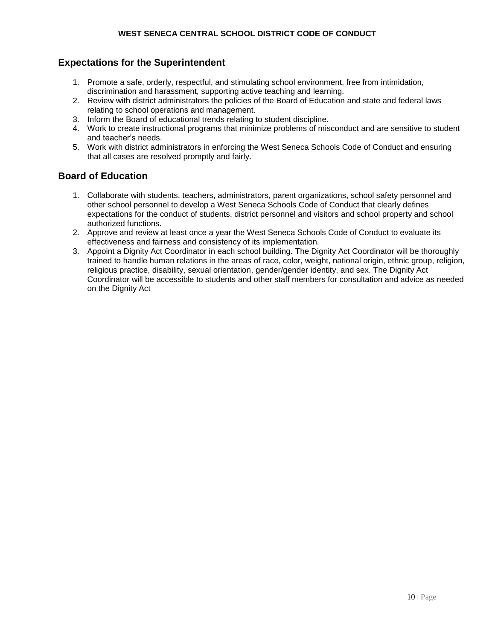## **Expectations for the Superintendent**

- 1. Promote a safe, orderly, respectful, and stimulating school environment, free from intimidation, discrimination and harassment, supporting active teaching and learning.
- 2. Review with district administrators the policies of the Board of Education and state and federal laws relating to school operations and management.
- 3. Inform the Board of educational trends relating to student discipline.
- 4. Work to create instructional programs that minimize problems of misconduct and are sensitive to student and teacher's needs.
- 5. Work with district administrators in enforcing the West Seneca Schools Code of Conduct and ensuring that all cases are resolved promptly and fairly.

## **Board of Education**

- 1. Collaborate with students, teachers, administrators, parent organizations, school safety personnel and other school personnel to develop a West Seneca Schools Code of Conduct that clearly defines expectations for the conduct of students, district personnel and visitors and school property and school authorized functions.
- 2. Approve and review at least once a year the West Seneca Schools Code of Conduct to evaluate its effectiveness and fairness and consistency of its implementation.
- 3. Appoint a Dignity Act Coordinator in each school building. The Dignity Act Coordinator will be thoroughly trained to handle human relations in the areas of race, color, weight, national origin, ethnic group, religion, religious practice, disability, sexual orientation, gender/gender identity, and sex. The Dignity Act Coordinator will be accessible to students and other staff members for consultation and advice as needed on the Dignity Act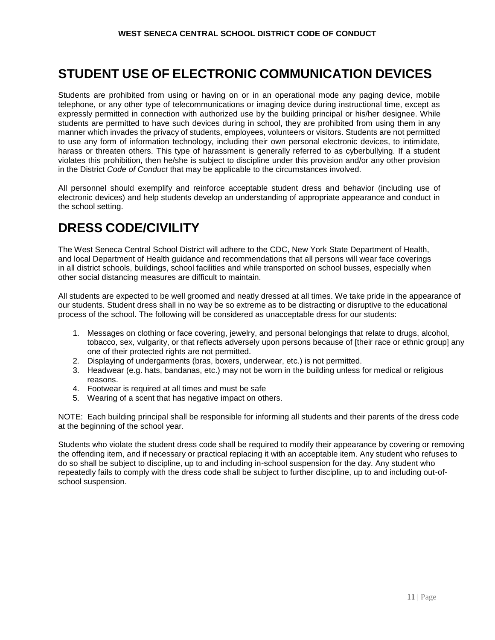# **STUDENT USE OF ELECTRONIC COMMUNICATION DEVICES**

Students are prohibited from using or having on or in an operational mode any paging device, mobile telephone, or any other type of telecommunications or imaging device during instructional time, except as expressly permitted in connection with authorized use by the building principal or his/her designee. While students are permitted to have such devices during in school, they are prohibited from using them in any manner which invades the privacy of students, employees, volunteers or visitors. Students are not permitted to use any form of information technology, including their own personal electronic devices, to intimidate, harass or threaten others. This type of harassment is generally referred to as cyberbullying. If a student violates this prohibition, then he/she is subject to discipline under this provision and/or any other provision in the District *Code of Conduct* that may be applicable to the circumstances involved.

All personnel should exemplify and reinforce acceptable student dress and behavior (including use of electronic devices) and help students develop an understanding of appropriate appearance and conduct in the school setting.

# **DRESS CODE/CIVILITY**

The West Seneca Central School District will adhere to the CDC, New York State Department of Health, and local Department of Health guidance and recommendations that all persons will wear face coverings in all district schools, buildings, school facilities and while transported on school busses, especially when other social distancing measures are difficult to maintain.

All students are expected to be well groomed and neatly dressed at all times. We take pride in the appearance of our students. Student dress shall in no way be so extreme as to be distracting or disruptive to the educational process of the school. The following will be considered as unacceptable dress for our students:

- 1. Messages on clothing or face covering, jewelry, and personal belongings that relate to drugs, alcohol, tobacco, sex, vulgarity, or that reflects adversely upon persons because of [their race or ethnic group] any one of their protected rights are not permitted.
- 2. Displaying of undergarments (bras, boxers, underwear, etc.) is not permitted.
- 3. Headwear (e.g. hats, bandanas, etc.) may not be worn in the building unless for medical or religious reasons.
- 4. Footwear is required at all times and must be safe
- 5. Wearing of a scent that has negative impact on others.

NOTE: Each building principal shall be responsible for informing all students and their parents of the dress code at the beginning of the school year.

Students who violate the student dress code shall be required to modify their appearance by covering or removing the offending item, and if necessary or practical replacing it with an acceptable item. Any student who refuses to do so shall be subject to discipline, up to and including in-school suspension for the day. Any student who repeatedly fails to comply with the dress code shall be subject to further discipline, up to and including out-ofschool suspension.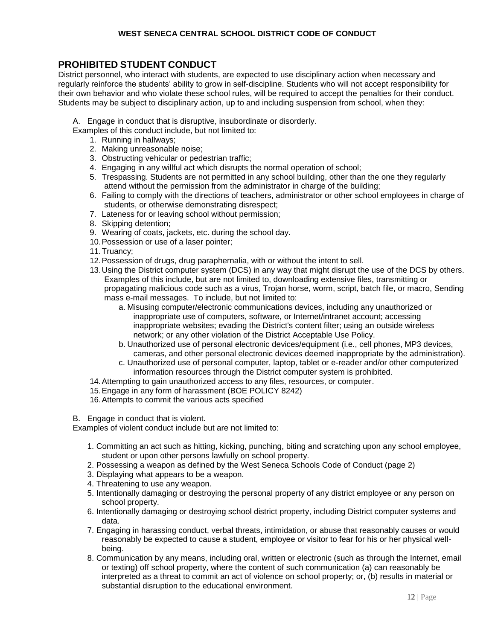## **PROHIBITED STUDENT CONDUCT**

District personnel, who interact with students, are expected to use disciplinary action when necessary and regularly reinforce the students' ability to grow in self-discipline. Students who will not accept responsibility for their own behavior and who violate these school rules, will be required to accept the penalties for their conduct. Students may be subject to disciplinary action, up to and including suspension from school, when they:

A. Engage in conduct that is disruptive, insubordinate or disorderly.

- Examples of this conduct include, but not limited to:
	- 1. Running in hallways;
	- 2. Making unreasonable noise;
	- 3. Obstructing vehicular or pedestrian traffic;
	- 4. Engaging in any willful act which disrupts the normal operation of school;
	- 5. Trespassing. Students are not permitted in any school building, other than the one they regularly attend without the permission from the administrator in charge of the building;
	- 6. Failing to comply with the directions of teachers, administrator or other school employees in charge of students, or otherwise demonstrating disrespect;
	- 7. Lateness for or leaving school without permission;
	- 8. Skipping detention;
	- 9. Wearing of coats, jackets, etc. during the school day.
	- 10.Possession or use of a laser pointer;
	- 11.Truancy;
	- 12.Possession of drugs, drug paraphernalia, with or without the intent to sell.
	- 13.Using the District computer system (DCS) in any way that might disrupt the use of the DCS by others. Examples of this include, but are not limited to, downloading extensive files, transmitting or propagating malicious code such as a virus, Trojan horse, worm, script, batch file, or macro, Sending mass e-mail messages. To include, but not limited to:
		- a. Misusing computer/electronic communications devices, including any unauthorized or inappropriate use of computers, software, or Internet/intranet account; accessing inappropriate websites; evading the District's content filter; using an outside wireless network; or any other violation of the District Acceptable Use Policy.
		- b. Unauthorized use of personal electronic devices/equipment (i.e., cell phones, MP3 devices, cameras, and other personal electronic devices deemed inappropriate by the administration).
		- c. Unauthorized use of personal computer, laptop, tablet or e-reader and/or other computerized information resources through the District computer system is prohibited.
	- 14.Attempting to gain unauthorized access to any files, resources, or computer.
	- 15.Engage in any form of harassment (BOE POLICY 8242)
	- 16.Attempts to commit the various acts specified

B. Engage in conduct that is violent.

Examples of violent conduct include but are not limited to:

- 1. Committing an act such as hitting, kicking, punching, biting and scratching upon any school employee, student or upon other persons lawfully on school property.
- 2. Possessing a weapon as defined by the West Seneca Schools Code of Conduct (page 2)
- 3. Displaying what appears to be a weapon.
- 4. Threatening to use any weapon.
- 5. Intentionally damaging or destroying the personal property of any district employee or any person on school property.
- 6. Intentionally damaging or destroying school district property, including District computer systems and data.
- 7. Engaging in harassing conduct, verbal threats, intimidation, or abuse that reasonably causes or would reasonably be expected to cause a student, employee or visitor to fear for his or her physical wellbeing.
- 8. Communication by any means, including oral, written or electronic (such as through the Internet, email or texting) off school property, where the content of such communication (a) can reasonably be interpreted as a threat to commit an act of violence on school property; or, (b) results in material or substantial disruption to the educational environment.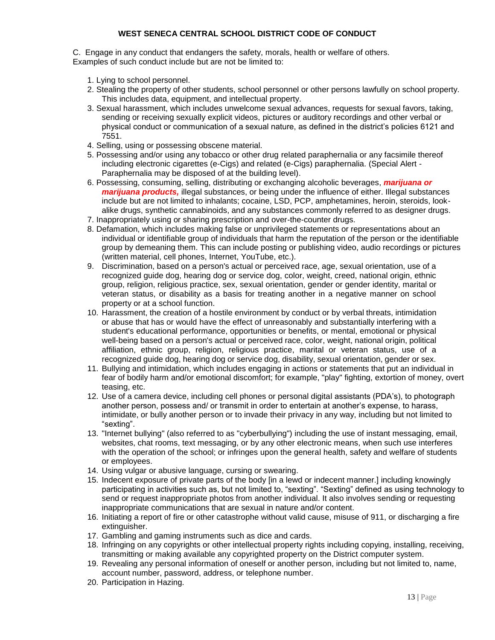C. Engage in any conduct that endangers the safety, morals, health or welfare of others. Examples of such conduct include but are not be limited to:

- 1. Lying to school personnel.
- 2. Stealing the property of other students, school personnel or other persons lawfully on school property. This includes data, equipment, and intellectual property.
- 3. Sexual harassment, which includes unwelcome sexual advances, requests for sexual favors, taking, sending or receiving sexually explicit videos, pictures or auditory recordings and other verbal or physical conduct or communication of a sexual nature, as defined in the district's policies 6121 and 7551.
- 4. Selling, using or possessing obscene material.
- 5. Possessing and/or using any tobacco or other drug related paraphernalia or any facsimile thereof including electronic cigarettes (e-Cigs) and related (e-Cigs) paraphernalia. (Special Alert - Paraphernalia may be disposed of at the building level).
- 6. Possessing, consuming, selling, distributing or exchanging alcoholic beverages, *marijuana or marijuana products,* illegal substances, or being under the influence of either. Illegal substances include but are not limited to inhalants; cocaine, LSD, PCP, amphetamines, heroin, steroids, lookalike drugs, synthetic cannabinoids, and any substances commonly referred to as designer drugs.
- 7. Inappropriately using or sharing prescription and over-the-counter drugs.
- 8. Defamation, which includes making false or unprivileged statements or representations about an individual or identifiable group of individuals that harm the reputation of the person or the identifiable group by demeaning them. This can include posting or publishing video, audio recordings or pictures (written material, cell phones, Internet, YouTube, etc.).
- 9. Discrimination, based on a person's actual or perceived race, age, sexual orientation, use of a recognized guide dog, hearing dog or service dog, color, weight, creed, national origin, ethnic group, religion, religious practice, sex, sexual orientation, gender or gender identity, marital or veteran status, or disability as a basis for treating another in a negative manner on school property or at a school function.
- 10. Harassment, the creation of a hostile environment by conduct or by verbal threats, intimidation or abuse that has or would have the effect of unreasonably and substantially interfering with a student's educational performance, opportunities or benefits, or mental, emotional or physical well-being based on a person's actual or perceived race, color, weight, national origin, political affiliation, ethnic group, religion, religious practice, marital or veteran status, use of a recognized guide dog, hearing dog or service dog, disability, sexual orientation, gender or sex.
- 11. Bullying and intimidation, which includes engaging in actions or statements that put an individual in fear of bodily harm and/or emotional discomfort; for example, "play" fighting, extortion of money, overt teasing, etc.
- 12. Use of a camera device, including cell phones or personal digital assistants (PDA's), to photograph another person, possess and/ or transmit in order to entertain at another's expense, to harass, intimidate, or bully another person or to invade their privacy in any way, including but not limited to "sexting".
- 13. "Internet bullying" (also referred to as "cyberbullying") including the use of instant messaging, email, websites, chat rooms, text messaging, or by any other electronic means, when such use interferes with the operation of the school; or infringes upon the general health, safety and welfare of students or employees.
- 14. Using vulgar or abusive language, cursing or swearing.
- 15. Indecent exposure of private parts of the body [in a lewd or indecent manner.] including knowingly participating in activities such as, but not limited to, "sexting". "Sexting" defined as using technology to send or request inappropriate photos from another individual. It also involves sending or requesting inappropriate communications that are sexual in nature and/or content.
- 16. Initiating a report of fire or other catastrophe without valid cause, misuse of 911, or discharging a fire extinguisher.
- 17. Gambling and gaming instruments such as dice and cards.
- 18. Infringing on any copyrights or other intellectual property rights including copying, installing, receiving, transmitting or making available any copyrighted property on the District computer system.
- 19. Revealing any personal information of oneself or another person, including but not limited to, name, account number, password, address, or telephone number.
- 20. Participation in Hazing.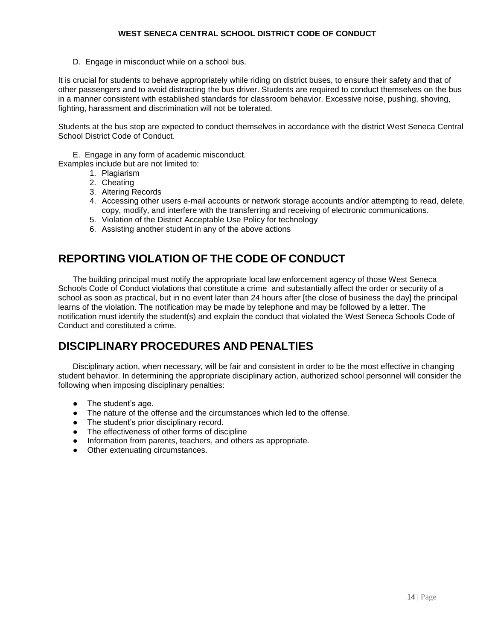D. Engage in misconduct while on a school bus.

It is crucial for students to behave appropriately while riding on district buses, to ensure their safety and that of other passengers and to avoid distracting the bus driver. Students are required to conduct themselves on the bus in a manner consistent with established standards for classroom behavior. Excessive noise, pushing, shoving, fighting, harassment and discrimination will not be tolerated.

Students at the bus stop are expected to conduct themselves in accordance with the district West Seneca Central School District Code of Conduct.

E. Engage in any form of academic misconduct.

Examples include but are not limited to:

- 1. Plagiarism
- 2. Cheating
- 3. Altering Records
- 4. Accessing other users e-mail accounts or network storage accounts and/or attempting to read, delete, copy, modify, and interfere with the transferring and receiving of electronic communications.
- 5. Violation of the District Acceptable Use Policy for technology
- 6. Assisting another student in any of the above actions

## **REPORTING VIOLATION OF THE CODE OF CONDUCT**

The building principal must notify the appropriate local law enforcement agency of those West Seneca Schools Code of Conduct violations that constitute a crime and substantially affect the order or security of a school as soon as practical, but in no event later than 24 hours after [the close of business the day] the principal learns of the violation. The notification may be made by telephone and may be followed by a letter. The notification must identify the student(s) and explain the conduct that violated the West Seneca Schools Code of Conduct and constituted a crime.

## **DISCIPLINARY PROCEDURES AND PENALTIES**

Disciplinary action, when necessary, will be fair and consistent in order to be the most effective in changing student behavior. In determining the appropriate disciplinary action, authorized school personnel will consider the following when imposing disciplinary penalties:

- The student's age.
- The nature of the offense and the circumstances which led to the offense.
- The student's prior disciplinary record.
- The effectiveness of other forms of discipline
- Information from parents, teachers, and others as appropriate.
- Other extenuating circumstances.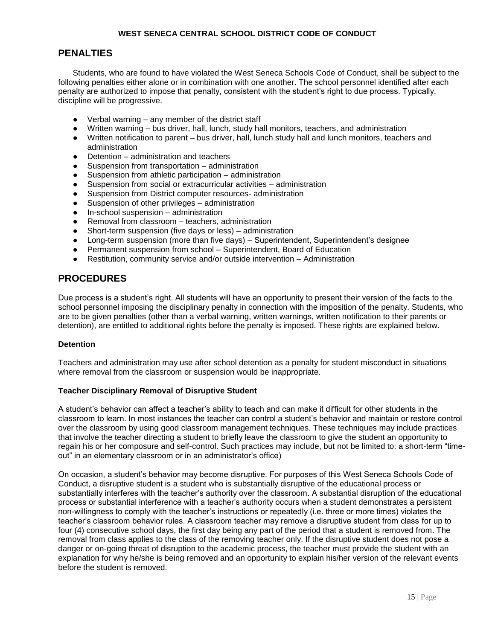## **PENALTIES**

Students, who are found to have violated the West Seneca Schools Code of Conduct, shall be subject to the following penalties either alone or in combination with one another. The school personnel identified after each penalty are authorized to impose that penalty, consistent with the student's right to due process. Typically, discipline will be progressive.

- Verbal warning  $-$  any member of the district staff
- Written warning bus driver, hall, lunch, study hall monitors, teachers, and administration
- Written notification to parent bus driver, hall, lunch study hall and lunch monitors, teachers and administration
- Detention administration and teachers
- Suspension from transportation administration
- Suspension from athletic participation administration
- Suspension from social or extracurricular activities administration
- Suspension from District computer resources- administration
- Suspension of other privileges administration
- In-school suspension administration
- Removal from classroom teachers, administration
- Short-term suspension (five days or less) administration
- Long-term suspension (more than five days) Superintendent, Superintendent's designee
- Permanent suspension from school Superintendent, Board of Education
- Restitution, community service and/or outside intervention Administration

## **PROCEDURES**

Due process is a student's right. All students will have an opportunity to present their version of the facts to the school personnel imposing the disciplinary penalty in connection with the imposition of the penalty. Students, who are to be given penalties (other than a verbal warning, written warnings, written notification to their parents or detention), are entitled to additional rights before the penalty is imposed. These rights are explained below.

#### **Detention**

Teachers and administration may use after school detention as a penalty for student misconduct in situations where removal from the classroom or suspension would be inappropriate.

#### **Teacher Disciplinary Removal of Disruptive Student**

A student's behavior can affect a teacher's ability to teach and can make it difficult for other students in the classroom to learn. In most instances the teacher can control a student's behavior and maintain or restore control over the classroom by using good classroom management techniques. These techniques may include practices that involve the teacher directing a student to briefly leave the classroom to give the student an opportunity to regain his or her composure and self-control. Such practices may include, but not be limited to: a short-term "timeout" in an elementary classroom or in an administrator's office)

On occasion, a student's behavior may become disruptive. For purposes of this West Seneca Schools Code of Conduct, a disruptive student is a student who is substantially disruptive of the educational process or substantially interferes with the teacher's authority over the classroom. A substantial disruption of the educational process or substantial interference with a teacher's authority occurs when a student demonstrates a persistent non-willingness to comply with the teacher's instructions or repeatedly (i.e. three or more times) violates the teacher's classroom behavior rules. A classroom teacher may remove a disruptive student from class for up to four (4) consecutive school days, the first day being any part of the period that a student is removed from. The removal from class applies to the class of the removing teacher only. If the disruptive student does not pose a danger or on-going threat of disruption to the academic process, the teacher must provide the student with an explanation for why he/she is being removed and an opportunity to explain his/her version of the relevant events before the student is removed.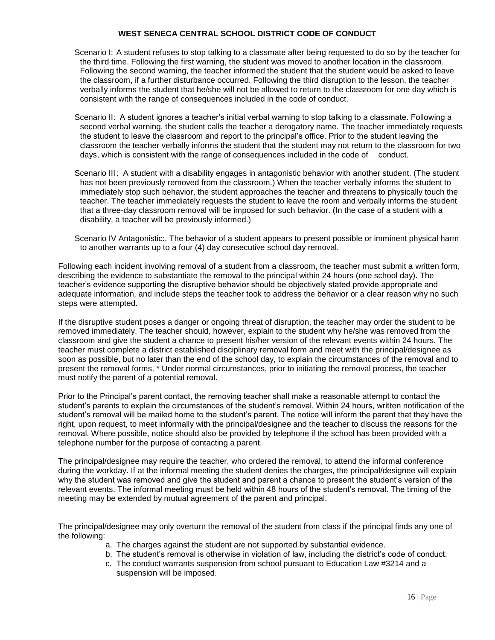- Scenario I: A student refuses to stop talking to a classmate after being requested to do so by the teacher for the third time. Following the first warning, the student was moved to another location in the classroom. Following the second warning, the teacher informed the student that the student would be asked to leave the classroom, if a further disturbance occurred. Following the third disruption to the lesson, the teacher verbally informs the student that he/she will not be allowed to return to the classroom for one day which is consistent with the range of consequences included in the code of conduct.
- Scenario II: A student ignores a teacher's initial verbal warning to stop talking to a classmate. Following a second verbal warning, the student calls the teacher a derogatory name. The teacher immediately requests the student to leave the classroom and report to the principal's office. Prior to the student leaving the classroom the teacher verbally informs the student that the student may not return to the classroom for two days, which is consistent with the range of consequences included in the code of conduct.
- Scenario III: A student with a disability engages in antagonistic behavior with another student. (The student has not been previously removed from the classroom.) When the teacher verbally informs the student to immediately stop such behavior, the student approaches the teacher and threatens to physically touch the teacher. The teacher immediately requests the student to leave the room and verbally informs the student that a three-day classroom removal will be imposed for such behavior. (In the case of a student with a disability, a teacher will be previously informed.)

Scenario IV Antagonistic:. The behavior of a student appears to present possible or imminent physical harm to another warrants up to a four (4) day consecutive school day removal.

Following each incident involving removal of a student from a classroom, the teacher must submit a written form, describing the evidence to substantiate the removal to the principal within 24 hours (one school day). The teacher's evidence supporting the disruptive behavior should be objectively stated provide appropriate and adequate information, and include steps the teacher took to address the behavior or a clear reason why no such steps were attempted.

If the disruptive student poses a danger or ongoing threat of disruption, the teacher may order the student to be removed immediately. The teacher should, however, explain to the student why he/she was removed from the classroom and give the student a chance to present his/her version of the relevant events within 24 hours. The teacher must complete a district established disciplinary removal form and meet with the principal/designee as soon as possible, but no later than the end of the school day, to explain the circumstances of the removal and to present the removal forms. \* Under normal circumstances, prior to initiating the removal process, the teacher must notify the parent of a potential removal.

Prior to the Principal's parent contact, the removing teacher shall make a reasonable attempt to contact the student's parents to explain the circumstances of the student's removal. Within 24 hours, written notification of the student's removal will be mailed home to the student's parent. The notice will inform the parent that they have the right, upon request, to meet informally with the principal/designee and the teacher to discuss the reasons for the removal. Where possible, notice should also be provided by telephone if the school has been provided with a telephone number for the purpose of contacting a parent.

The principal/designee may require the teacher, who ordered the removal, to attend the informal conference during the workday. If at the informal meeting the student denies the charges, the principal/designee will explain why the student was removed and give the student and parent a chance to present the student's version of the relevant events. The informal meeting must be held within 48 hours of the student's removal. The timing of the meeting may be extended by mutual agreement of the parent and principal.

The principal/designee may only overturn the removal of the student from class if the principal finds any one of the following:

- a. The charges against the student are not supported by substantial evidence.
- b. The student's removal is otherwise in violation of law, including the district's code of conduct.
- c. The conduct warrants suspension from school pursuant to Education Law #3214 and a suspension will be imposed.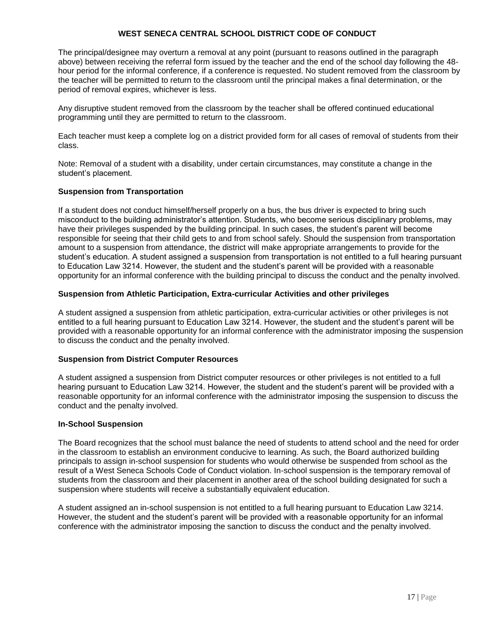The principal/designee may overturn a removal at any point (pursuant to reasons outlined in the paragraph above) between receiving the referral form issued by the teacher and the end of the school day following the 48 hour period for the informal conference, if a conference is requested. No student removed from the classroom by the teacher will be permitted to return to the classroom until the principal makes a final determination, or the period of removal expires, whichever is less.

Any disruptive student removed from the classroom by the teacher shall be offered continued educational programming until they are permitted to return to the classroom.

Each teacher must keep a complete log on a district provided form for all cases of removal of students from their class.

Note: Removal of a student with a disability, under certain circumstances, may constitute a change in the student's placement.

#### **Suspension from Transportation**

If a student does not conduct himself/herself properly on a bus, the bus driver is expected to bring such misconduct to the building administrator's attention. Students, who become serious disciplinary problems, may have their privileges suspended by the building principal. In such cases, the student's parent will become responsible for seeing that their child gets to and from school safely. Should the suspension from transportation amount to a suspension from attendance, the district will make appropriate arrangements to provide for the student's education. A student assigned a suspension from transportation is not entitled to a full hearing pursuant to Education Law 3214. However, the student and the student's parent will be provided with a reasonable opportunity for an informal conference with the building principal to discuss the conduct and the penalty involved.

#### **Suspension from Athletic Participation, Extra-curricular Activities and other privileges**

A student assigned a suspension from athletic participation, extra-curricular activities or other privileges is not entitled to a full hearing pursuant to Education Law 3214. However, the student and the student's parent will be provided with a reasonable opportunity for an informal conference with the administrator imposing the suspension to discuss the conduct and the penalty involved.

#### **Suspension from District Computer Resources**

A student assigned a suspension from District computer resources or other privileges is not entitled to a full hearing pursuant to Education Law 3214. However, the student and the student's parent will be provided with a reasonable opportunity for an informal conference with the administrator imposing the suspension to discuss the conduct and the penalty involved.

#### **In-School Suspension**

The Board recognizes that the school must balance the need of students to attend school and the need for order in the classroom to establish an environment conducive to learning. As such, the Board authorized building principals to assign in-school suspension for students who would otherwise be suspended from school as the result of a West Seneca Schools Code of Conduct violation. In-school suspension is the temporary removal of students from the classroom and their placement in another area of the school building designated for such a suspension where students will receive a substantially equivalent education.

A student assigned an in-school suspension is not entitled to a full hearing pursuant to Education Law 3214. However, the student and the student's parent will be provided with a reasonable opportunity for an informal conference with the administrator imposing the sanction to discuss the conduct and the penalty involved.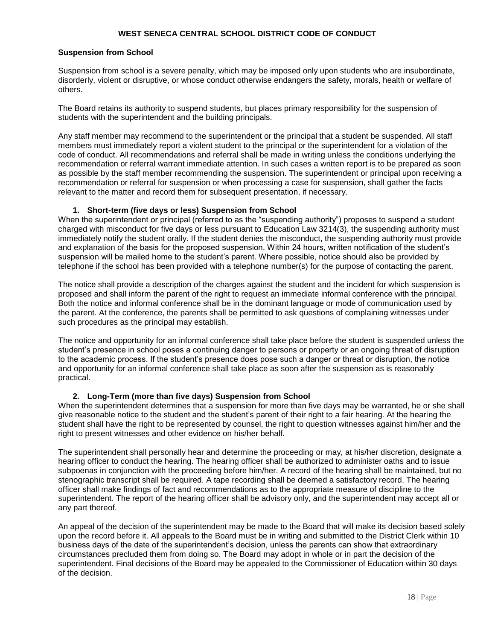#### **Suspension from School**

Suspension from school is a severe penalty, which may be imposed only upon students who are insubordinate, disorderly, violent or disruptive, or whose conduct otherwise endangers the safety, morals, health or welfare of others.

The Board retains its authority to suspend students, but places primary responsibility for the suspension of students with the superintendent and the building principals.

Any staff member may recommend to the superintendent or the principal that a student be suspended. All staff members must immediately report a violent student to the principal or the superintendent for a violation of the code of conduct. All recommendations and referral shall be made in writing unless the conditions underlying the recommendation or referral warrant immediate attention. In such cases a written report is to be prepared as soon as possible by the staff member recommending the suspension. The superintendent or principal upon receiving a recommendation or referral for suspension or when processing a case for suspension, shall gather the facts relevant to the matter and record them for subsequent presentation, if necessary.

#### **1. Short-term (five days or less) Suspension from School**

When the superintendent or principal (referred to as the "suspending authority") proposes to suspend a student charged with misconduct for five days or less pursuant to Education Law 3214(3), the suspending authority must immediately notify the student orally. If the student denies the misconduct, the suspending authority must provide and explanation of the basis for the proposed suspension. Within 24 hours, written notification of the student's suspension will be mailed home to the student's parent. Where possible, notice should also be provided by telephone if the school has been provided with a telephone number(s) for the purpose of contacting the parent.

The notice shall provide a description of the charges against the student and the incident for which suspension is proposed and shall inform the parent of the right to request an immediate informal conference with the principal. Both the notice and informal conference shall be in the dominant language or mode of communication used by the parent. At the conference, the parents shall be permitted to ask questions of complaining witnesses under such procedures as the principal may establish.

The notice and opportunity for an informal conference shall take place before the student is suspended unless the student's presence in school poses a continuing danger to persons or property or an ongoing threat of disruption to the academic process. If the student's presence does pose such a danger or threat or disruption, the notice and opportunity for an informal conference shall take place as soon after the suspension as is reasonably practical.

#### **2. Long-Term (more than five days) Suspension from School**

When the superintendent determines that a suspension for more than five days may be warranted, he or she shall give reasonable notice to the student and the student's parent of their right to a fair hearing. At the hearing the student shall have the right to be represented by counsel, the right to question witnesses against him/her and the right to present witnesses and other evidence on his/her behalf.

The superintendent shall personally hear and determine the proceeding or may, at his/her discretion, designate a hearing officer to conduct the hearing. The hearing officer shall be authorized to administer oaths and to issue subpoenas in conjunction with the proceeding before him/her. A record of the hearing shall be maintained, but no stenographic transcript shall be required. A tape recording shall be deemed a satisfactory record. The hearing officer shall make findings of fact and recommendations as to the appropriate measure of discipline to the superintendent. The report of the hearing officer shall be advisory only, and the superintendent may accept all or any part thereof.

An appeal of the decision of the superintendent may be made to the Board that will make its decision based solely upon the record before it. All appeals to the Board must be in writing and submitted to the District Clerk within 10 business days of the date of the superintendent's decision, unless the parents can show that extraordinary circumstances precluded them from doing so. The Board may adopt in whole or in part the decision of the superintendent. Final decisions of the Board may be appealed to the Commissioner of Education within 30 days of the decision.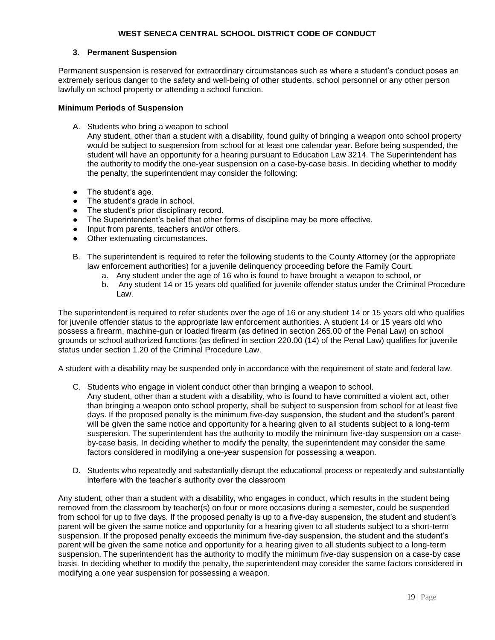#### **3. Permanent Suspension**

Permanent suspension is reserved for extraordinary circumstances such as where a student's conduct poses an extremely serious danger to the safety and well-being of other students, school personnel or any other person lawfully on school property or attending a school function.

#### **Minimum Periods of Suspension**

A. Students who bring a weapon to school

Any student, other than a student with a disability, found guilty of bringing a weapon onto school property would be subject to suspension from school for at least one calendar year. Before being suspended, the student will have an opportunity for a hearing pursuant to Education Law 3214. The Superintendent has the authority to modify the one-year suspension on a case-by-case basis. In deciding whether to modify the penalty, the superintendent may consider the following:

- The student's age.
- The student's grade in school.
- The student's prior disciplinary record.
- The Superintendent's belief that other forms of discipline may be more effective.
- Input from parents, teachers and/or others.
- Other extenuating circumstances.
- B. The superintendent is required to refer the following students to the County Attorney (or the appropriate law enforcement authorities) for a juvenile delinquency proceeding before the Family Court.
	- a. Any student under the age of 16 who is found to have brought a weapon to school, or
	- b. Any student 14 or 15 years old qualified for juvenile offender status under the Criminal Procedure Law.

The superintendent is required to refer students over the age of 16 or any student 14 or 15 years old who qualifies for juvenile offender status to the appropriate law enforcement authorities. A student 14 or 15 years old who possess a firearm, machine-gun or loaded firearm (as defined in section 265.00 of the Penal Law) on school grounds or school authorized functions (as defined in section 220.00 (14) of the Penal Law) qualifies for juvenile status under section 1.20 of the Criminal Procedure Law.

A student with a disability may be suspended only in accordance with the requirement of state and federal law.

- C. Students who engage in violent conduct other than bringing a weapon to school. Any student, other than a student with a disability, who is found to have committed a violent act, other than bringing a weapon onto school property, shall be subject to suspension from school for at least five days. If the proposed penalty is the minimum five-day suspension, the student and the student's parent will be given the same notice and opportunity for a hearing given to all students subject to a long-term suspension. The superintendent has the authority to modify the minimum five-day suspension on a caseby-case basis. In deciding whether to modify the penalty, the superintendent may consider the same factors considered in modifying a one-year suspension for possessing a weapon.
- D. Students who repeatedly and substantially disrupt the educational process or repeatedly and substantially interfere with the teacher's authority over the classroom

Any student, other than a student with a disability, who engages in conduct, which results in the student being removed from the classroom by teacher(s) on four or more occasions during a semester, could be suspended from school for up to five days. If the proposed penalty is up to a five-day suspension, the student and student's parent will be given the same notice and opportunity for a hearing given to all students subject to a short-term suspension. If the proposed penalty exceeds the minimum five-day suspension, the student and the student's parent will be given the same notice and opportunity for a hearing given to all students subject to a long-term suspension. The superintendent has the authority to modify the minimum five-day suspension on a case-by case basis. In deciding whether to modify the penalty, the superintendent may consider the same factors considered in modifying a one year suspension for possessing a weapon.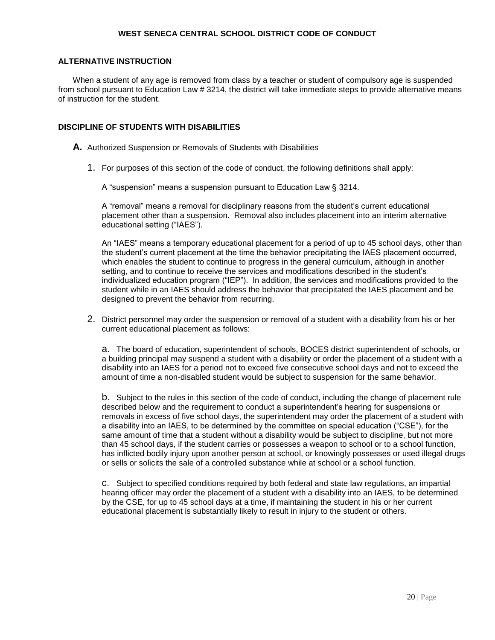#### **ALTERNATIVE INSTRUCTION**

When a student of any age is removed from class by a teacher or student of compulsory age is suspended from school pursuant to Education Law # 3214, the district will take immediate steps to provide alternative means of instruction for the student.

#### **DISCIPLINE OF STUDENTS WITH DISABILITIES**

**A.** Authorized Suspension or Removals of Students with Disabilities

1. For purposes of this section of the code of conduct, the following definitions shall apply:

A "suspension" means a suspension pursuant to Education Law § 3214.

A "removal" means a removal for disciplinary reasons from the student's current educational placement other than a suspension. Removal also includes placement into an interim alternative educational setting ("IAES").

An "IAES" means a temporary educational placement for a period of up to 45 school days, other than the student's current placement at the time the behavior precipitating the IAES placement occurred, which enables the student to continue to progress in the general curriculum, although in another setting, and to continue to receive the services and modifications described in the student's individualized education program ("IEP"). In addition, the services and modifications provided to the student while in an IAES should address the behavior that precipitated the IAES placement and be designed to prevent the behavior from recurring.

2. District personnel may order the suspension or removal of a student with a disability from his or her current educational placement as follows:

a. The board of education, superintendent of schools, BOCES district superintendent of schools, or a building principal may suspend a student with a disability or order the placement of a student with a disability into an IAES for a period not to exceed five consecutive school days and not to exceed the amount of time a non-disabled student would be subject to suspension for the same behavior.

b. Subject to the rules in this section of the code of conduct, including the change of placement rule described below and the requirement to conduct a superintendent's hearing for suspensions or removals in excess of five school days, the superintendent may order the placement of a student with a disability into an IAES, to be determined by the committee on special education ("CSE"), for the same amount of time that a student without a disability would be subject to discipline, but not more than 45 school days, if the student carries or possesses a weapon to school or to a school function, has inflicted bodily injury upon another person at school, or knowingly possesses or used illegal drugs or sells or solicits the sale of a controlled substance while at school or a school function.

c. Subject to specified conditions required by both federal and state law regulations, an impartial hearing officer may order the placement of a student with a disability into an IAES, to be determined by the CSE, for up to 45 school days at a time, if maintaining the student in his or her current educational placement is substantially likely to result in injury to the student or others.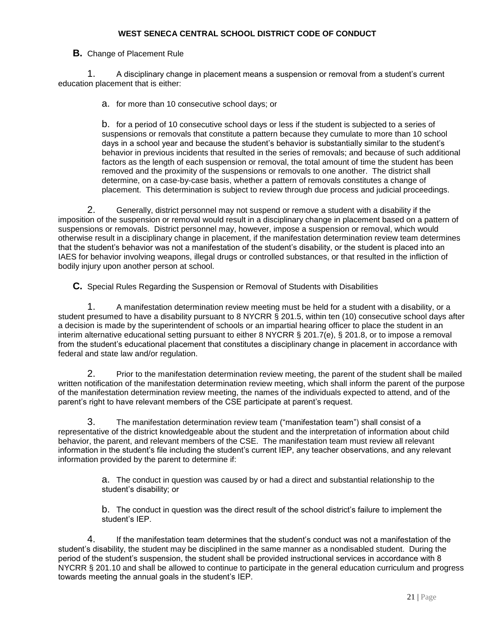#### **B.** Change of Placement Rule

1. A disciplinary change in placement means a suspension or removal from a student's current education placement that is either:

a. for more than 10 consecutive school days; or

b. for a period of 10 consecutive school days or less if the student is subjected to a series of suspensions or removals that constitute a pattern because they cumulate to more than 10 school days in a school year and because the student's behavior is substantially similar to the student's behavior in previous incidents that resulted in the series of removals; and because of such additional factors as the length of each suspension or removal, the total amount of time the student has been removed and the proximity of the suspensions or removals to one another. The district shall determine, on a case-by-case basis, whether a pattern of removals constitutes a change of placement. This determination is subject to review through due process and judicial proceedings.

2. Generally, district personnel may not suspend or remove a student with a disability if the imposition of the suspension or removal would result in a disciplinary change in placement based on a pattern of suspensions or removals. District personnel may, however, impose a suspension or removal, which would otherwise result in a disciplinary change in placement, if the manifestation determination review team determines that the student's behavior was not a manifestation of the student's disability, or the student is placed into an IAES for behavior involving weapons, illegal drugs or controlled substances, or that resulted in the infliction of bodily injury upon another person at school.

**C.** Special Rules Regarding the Suspension or Removal of Students with Disabilities

1. A manifestation determination review meeting must be held for a student with a disability, or a student presumed to have a disability pursuant to 8 NYCRR § 201.5, within ten (10) consecutive school days after a decision is made by the superintendent of schools or an impartial hearing officer to place the student in an interim alternative educational setting pursuant to either 8 NYCRR § 201.7(e), § 201.8, or to impose a removal from the student's educational placement that constitutes a disciplinary change in placement in accordance with federal and state law and/or regulation.

2. Prior to the manifestation determination review meeting, the parent of the student shall be mailed written notification of the manifestation determination review meeting, which shall inform the parent of the purpose of the manifestation determination review meeting, the names of the individuals expected to attend, and of the parent's right to have relevant members of the CSE participate at parent's request.

3. The manifestation determination review team ("manifestation team") shall consist of a representative of the district knowledgeable about the student and the interpretation of information about child behavior, the parent, and relevant members of the CSE. The manifestation team must review all relevant information in the student's file including the student's current IEP, any teacher observations, and any relevant information provided by the parent to determine if:

> a. The conduct in question was caused by or had a direct and substantial relationship to the student's disability; or

b. The conduct in question was the direct result of the school district's failure to implement the student's IEP.

4. If the manifestation team determines that the student's conduct was not a manifestation of the student's disability, the student may be disciplined in the same manner as a nondisabled student. During the period of the student's suspension, the student shall be provided instructional services in accordance with 8 NYCRR § 201.10 and shall be allowed to continue to participate in the general education curriculum and progress towards meeting the annual goals in the student's IEP.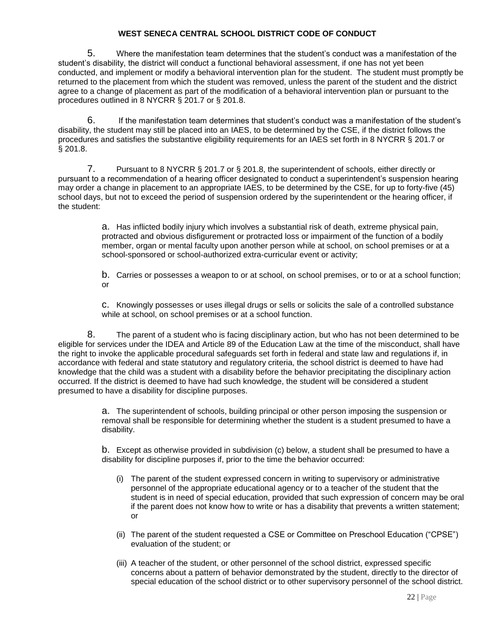5. Where the manifestation team determines that the student's conduct was a manifestation of the student's disability, the district will conduct a functional behavioral assessment, if one has not yet been conducted, and implement or modify a behavioral intervention plan for the student. The student must promptly be returned to the placement from which the student was removed, unless the parent of the student and the district agree to a change of placement as part of the modification of a behavioral intervention plan or pursuant to the procedures outlined in 8 NYCRR § 201.7 or § 201.8.

6. If the manifestation team determines that student's conduct was a manifestation of the student's disability, the student may still be placed into an IAES, to be determined by the CSE, if the district follows the procedures and satisfies the substantive eligibility requirements for an IAES set forth in 8 NYCRR § 201.7 or § 201.8.

7. Pursuant to 8 NYCRR § 201.7 or § 201.8, the superintendent of schools, either directly or pursuant to a recommendation of a hearing officer designated to conduct a superintendent's suspension hearing may order a change in placement to an appropriate IAES, to be determined by the CSE, for up to forty-five (45) school days, but not to exceed the period of suspension ordered by the superintendent or the hearing officer, if the student:

> a. Has inflicted bodily injury which involves a substantial risk of death, extreme physical pain, protracted and obvious disfigurement or protracted loss or impairment of the function of a bodily member, organ or mental faculty upon another person while at school, on school premises or at a school-sponsored or school-authorized extra-curricular event or activity;

b. Carries or possesses a weapon to or at school, on school premises, or to or at a school function; or

c. Knowingly possesses or uses illegal drugs or sells or solicits the sale of a controlled substance while at school, on school premises or at a school function.

8. The parent of a student who is facing disciplinary action, but who has not been determined to be eligible for services under the IDEA and Article 89 of the Education Law at the time of the misconduct, shall have the right to invoke the applicable procedural safeguards set forth in federal and state law and regulations if, in accordance with federal and state statutory and regulatory criteria, the school district is deemed to have had knowledge that the child was a student with a disability before the behavior precipitating the disciplinary action occurred. If the district is deemed to have had such knowledge, the student will be considered a student presumed to have a disability for discipline purposes.

> a. The superintendent of schools, building principal or other person imposing the suspension or removal shall be responsible for determining whether the student is a student presumed to have a disability.

> b. Except as otherwise provided in subdivision (c) below, a student shall be presumed to have a disability for discipline purposes if, prior to the time the behavior occurred:

- (i) The parent of the student expressed concern in writing to supervisory or administrative personnel of the appropriate educational agency or to a teacher of the student that the student is in need of special education, provided that such expression of concern may be oral if the parent does not know how to write or has a disability that prevents a written statement; or
- (ii) The parent of the student requested a CSE or Committee on Preschool Education ("CPSE") evaluation of the student; or
- (iii) A teacher of the student, or other personnel of the school district, expressed specific concerns about a pattern of behavior demonstrated by the student, directly to the director of special education of the school district or to other supervisory personnel of the school district.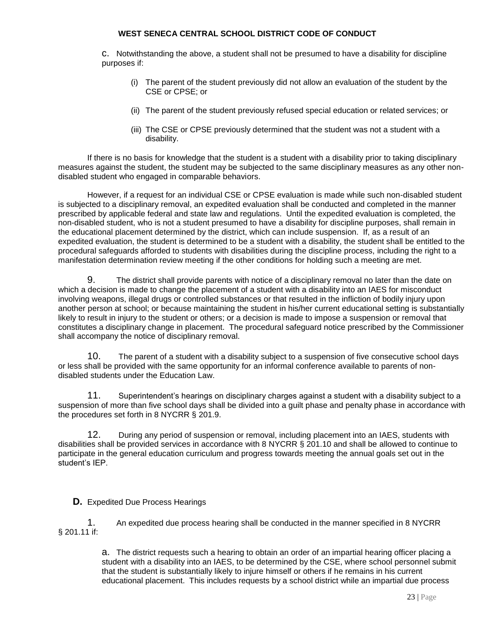c. Notwithstanding the above, a student shall not be presumed to have a disability for discipline purposes if:

- (i) The parent of the student previously did not allow an evaluation of the student by the CSE or CPSE; or
- (ii) The parent of the student previously refused special education or related services; or
- (iii) The CSE or CPSE previously determined that the student was not a student with a disability.

If there is no basis for knowledge that the student is a student with a disability prior to taking disciplinary measures against the student, the student may be subjected to the same disciplinary measures as any other nondisabled student who engaged in comparable behaviors.

However, if a request for an individual CSE or CPSE evaluation is made while such non-disabled student is subjected to a disciplinary removal, an expedited evaluation shall be conducted and completed in the manner prescribed by applicable federal and state law and regulations. Until the expedited evaluation is completed, the non-disabled student, who is not a student presumed to have a disability for discipline purposes, shall remain in the educational placement determined by the district, which can include suspension. If, as a result of an expedited evaluation, the student is determined to be a student with a disability, the student shall be entitled to the procedural safeguards afforded to students with disabilities during the discipline process, including the right to a manifestation determination review meeting if the other conditions for holding such a meeting are met.

9. The district shall provide parents with notice of a disciplinary removal no later than the date on which a decision is made to change the placement of a student with a disability into an IAES for misconduct involving weapons, illegal drugs or controlled substances or that resulted in the infliction of bodily injury upon another person at school; or because maintaining the student in his/her current educational setting is substantially likely to result in injury to the student or others; or a decision is made to impose a suspension or removal that constitutes a disciplinary change in placement. The procedural safeguard notice prescribed by the Commissioner shall accompany the notice of disciplinary removal.

10. The parent of a student with a disability subject to a suspension of five consecutive school days or less shall be provided with the same opportunity for an informal conference available to parents of nondisabled students under the Education Law.

11. Superintendent's hearings on disciplinary charges against a student with a disability subject to a suspension of more than five school days shall be divided into a guilt phase and penalty phase in accordance with the procedures set forth in 8 NYCRR § 201.9.

12. During any period of suspension or removal, including placement into an IAES, students with disabilities shall be provided services in accordance with 8 NYCRR § 201.10 and shall be allowed to continue to participate in the general education curriculum and progress towards meeting the annual goals set out in the student's IEP.

#### **D.** Expedited Due Process Hearings

1. An expedited due process hearing shall be conducted in the manner specified in 8 NYCRR § 201.11 if:

> a. The district requests such a hearing to obtain an order of an impartial hearing officer placing a student with a disability into an IAES, to be determined by the CSE, where school personnel submit that the student is substantially likely to injure himself or others if he remains in his current educational placement. This includes requests by a school district while an impartial due process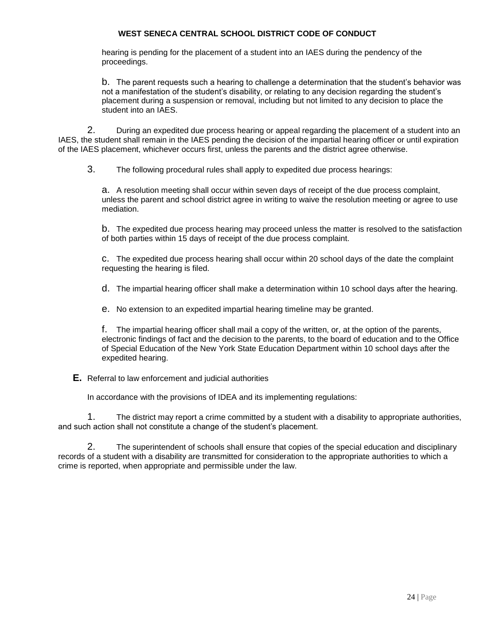hearing is pending for the placement of a student into an IAES during the pendency of the proceedings.

b. The parent requests such a hearing to challenge a determination that the student's behavior was not a manifestation of the student's disability, or relating to any decision regarding the student's placement during a suspension or removal, including but not limited to any decision to place the student into an IAES.

2. During an expedited due process hearing or appeal regarding the placement of a student into an IAES, the student shall remain in the IAES pending the decision of the impartial hearing officer or until expiration of the IAES placement, whichever occurs first, unless the parents and the district agree otherwise.

3. The following procedural rules shall apply to expedited due process hearings:

a. A resolution meeting shall occur within seven days of receipt of the due process complaint, unless the parent and school district agree in writing to waive the resolution meeting or agree to use mediation.

b. The expedited due process hearing may proceed unless the matter is resolved to the satisfaction of both parties within 15 days of receipt of the due process complaint.

c. The expedited due process hearing shall occur within 20 school days of the date the complaint requesting the hearing is filed.

d. The impartial hearing officer shall make a determination within 10 school days after the hearing.

e. No extension to an expedited impartial hearing timeline may be granted.

f. The impartial hearing officer shall mail a copy of the written, or, at the option of the parents, electronic findings of fact and the decision to the parents, to the board of education and to the Office of Special Education of the New York State Education Department within 10 school days after the expedited hearing.

**E.** Referral to law enforcement and judicial authorities

In accordance with the provisions of IDEA and its implementing regulations:

1. The district may report a crime committed by a student with a disability to appropriate authorities, and such action shall not constitute a change of the student's placement.

2. The superintendent of schools shall ensure that copies of the special education and disciplinary records of a student with a disability are transmitted for consideration to the appropriate authorities to which a crime is reported, when appropriate and permissible under the law.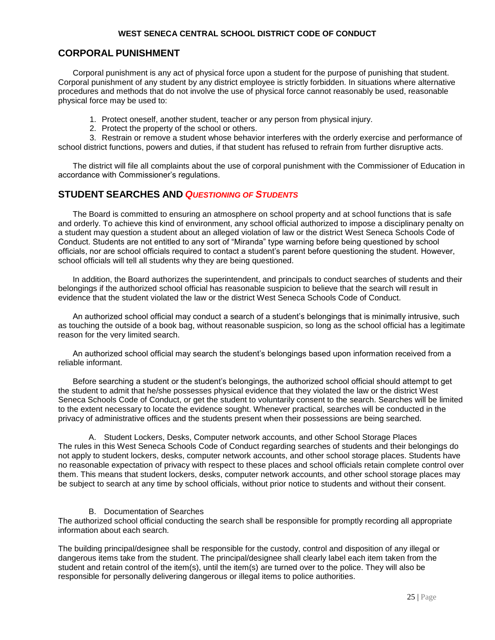## **CORPORAL PUNISHMENT**

Corporal punishment is any act of physical force upon a student for the purpose of punishing that student. Corporal punishment of any student by any district employee is strictly forbidden. In situations where alternative procedures and methods that do not involve the use of physical force cannot reasonably be used, reasonable physical force may be used to:

- 1. Protect oneself, another student, teacher or any person from physical injury.
- 2. Protect the property of the school or others.

3. Restrain or remove a student whose behavior interferes with the orderly exercise and performance of school district functions, powers and duties, if that student has refused to refrain from further disruptive acts.

The district will file all complaints about the use of corporal punishment with the Commissioner of Education in accordance with Commissioner's regulations.

## **STUDENT SEARCHES AND** *QUESTIONING OF STUDENTS*

The Board is committed to ensuring an atmosphere on school property and at school functions that is safe and orderly. To achieve this kind of environment, any school official authorized to impose a disciplinary penalty on a student may question a student about an alleged violation of law or the district West Seneca Schools Code of Conduct. Students are not entitled to any sort of "Miranda" type warning before being questioned by school officials, nor are school officials required to contact a student's parent before questioning the student. However, school officials will tell all students why they are being questioned.

In addition, the Board authorizes the superintendent, and principals to conduct searches of students and their belongings if the authorized school official has reasonable suspicion to believe that the search will result in evidence that the student violated the law or the district West Seneca Schools Code of Conduct.

An authorized school official may conduct a search of a student's belongings that is minimally intrusive, such as touching the outside of a book bag, without reasonable suspicion, so long as the school official has a legitimate reason for the very limited search.

An authorized school official may search the student's belongings based upon information received from a reliable informant.

Before searching a student or the student's belongings, the authorized school official should attempt to get the student to admit that he/she possesses physical evidence that they violated the law or the district West Seneca Schools Code of Conduct, or get the student to voluntarily consent to the search. Searches will be limited to the extent necessary to locate the evidence sought. Whenever practical, searches will be conducted in the privacy of administrative offices and the students present when their possessions are being searched.

A. Student Lockers, Desks, Computer network accounts, and other School Storage Places The rules in this West Seneca Schools Code of Conduct regarding searches of students and their belongings do not apply to student lockers, desks, computer network accounts, and other school storage places. Students have no reasonable expectation of privacy with respect to these places and school officials retain complete control over them. This means that student lockers, desks, computer network accounts, and other school storage places may be subject to search at any time by school officials, without prior notice to students and without their consent.

#### B. Documentation of Searches

The authorized school official conducting the search shall be responsible for promptly recording all appropriate information about each search.

The building principal/designee shall be responsible for the custody, control and disposition of any illegal or dangerous items take from the student. The principal/designee shall clearly label each item taken from the student and retain control of the item(s), until the item(s) are turned over to the police. They will also be responsible for personally delivering dangerous or illegal items to police authorities.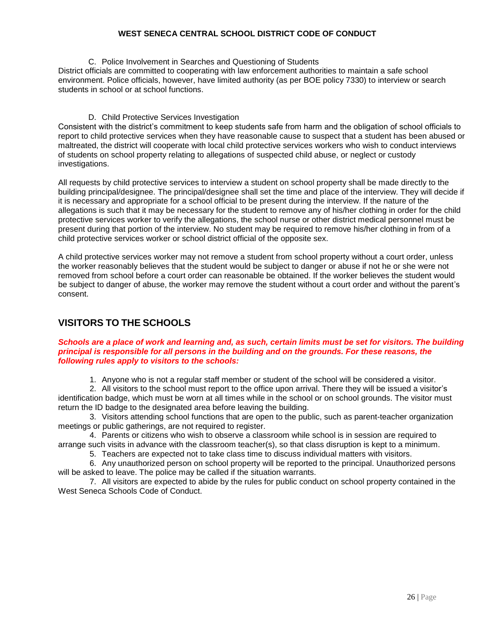C. Police Involvement in Searches and Questioning of Students

District officials are committed to cooperating with law enforcement authorities to maintain a safe school environment. Police officials, however, have limited authority (as per BOE policy 7330) to interview or search students in school or at school functions.

#### D. Child Protective Services Investigation

Consistent with the district's commitment to keep students safe from harm and the obligation of school officials to report to child protective services when they have reasonable cause to suspect that a student has been abused or maltreated, the district will cooperate with local child protective services workers who wish to conduct interviews of students on school property relating to allegations of suspected child abuse, or neglect or custody investigations.

All requests by child protective services to interview a student on school property shall be made directly to the building principal/designee. The principal/designee shall set the time and place of the interview. They will decide if it is necessary and appropriate for a school official to be present during the interview. If the nature of the allegations is such that it may be necessary for the student to remove any of his/her clothing in order for the child protective services worker to verify the allegations, the school nurse or other district medical personnel must be present during that portion of the interview. No student may be required to remove his/her clothing in from of a child protective services worker or school district official of the opposite sex.

A child protective services worker may not remove a student from school property without a court order, unless the worker reasonably believes that the student would be subject to danger or abuse if not he or she were not removed from school before a court order can reasonable be obtained. If the worker believes the student would be subject to danger of abuse, the worker may remove the student without a court order and without the parent's consent.

## **VISITORS TO THE SCHOOLS**

#### *Schools are a place of work and learning and, as such, certain limits must be set for visitors. The building principal is responsible for all persons in the building and on the grounds. For these reasons, the following rules apply to visitors to the schools:*

1. Anyone who is not a regular staff member or student of the school will be considered a visitor.

2. All visitors to the school must report to the office upon arrival. There they will be issued a visitor's identification badge, which must be worn at all times while in the school or on school grounds. The visitor must return the ID badge to the designated area before leaving the building.

3. Visitors attending school functions that are open to the public, such as parent-teacher organization meetings or public gatherings, are not required to register.

4. Parents or citizens who wish to observe a classroom while school is in session are required to arrange such visits in advance with the classroom teacher(s), so that class disruption is kept to a minimum.

5. Teachers are expected not to take class time to discuss individual matters with visitors.

6. Any unauthorized person on school property will be reported to the principal. Unauthorized persons will be asked to leave. The police may be called if the situation warrants.

7. All visitors are expected to abide by the rules for public conduct on school property contained in the West Seneca Schools Code of Conduct.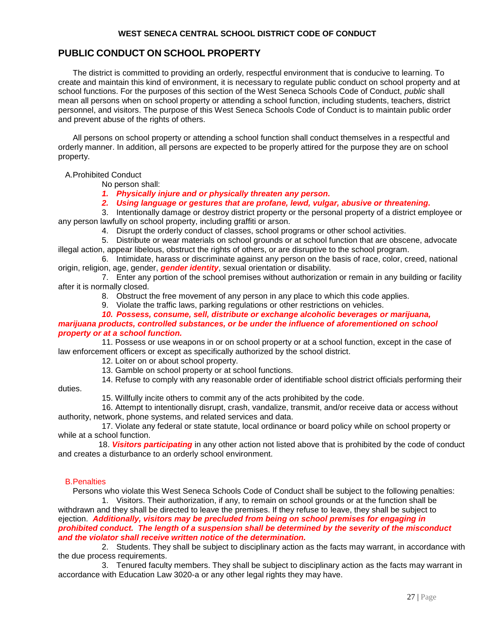## **PUBLIC CONDUCT ON SCHOOL PROPERTY**

The district is committed to providing an orderly, respectful environment that is conducive to learning. To create and maintain this kind of environment, it is necessary to regulate public conduct on school property and at school functions. For the purposes of this section of the West Seneca Schools Code of Conduct, *public* shall mean all persons when on school property or attending a school function, including students, teachers, district personnel, and visitors. The purpose of this West Seneca Schools Code of Conduct is to maintain public order and prevent abuse of the rights of others.

All persons on school property or attending a school function shall conduct themselves in a respectful and orderly manner. In addition, all persons are expected to be properly attired for the purpose they are on school property.

A.Prohibited Conduct

No person shall:

*1. Physically injure and or physically threaten any person.*

*2. Using language or gestures that are profane, lewd, vulgar, abusive or threatening.* 

3. Intentionally damage or destroy district property or the personal property of a district employee or any person lawfully on school property, including graffiti or arson.

4. Disrupt the orderly conduct of classes, school programs or other school activities.

5. Distribute or wear materials on school grounds or at school function that are obscene, advocate illegal action, appear libelous, obstruct the rights of others, or are disruptive to the school program.

6. Intimidate, harass or discriminate against any person on the basis of race, color, creed, national origin, religion, age, gender, *gender identity*, sexual orientation or disability.

7. Enter any portion of the school premises without authorization or remain in any building or facility after it is normally closed.

8. Obstruct the free movement of any person in any place to which this code applies.

9. Violate the traffic laws, parking regulations or other restrictions on vehicles.

*10. Possess, consume, sell, distribute or exchange alcoholic beverages or marijuana,* 

#### *marijuana products, controlled substances, or be under the influence of aforementioned on school property or at a school function.*

11. Possess or use weapons in or on school property or at a school function, except in the case of law enforcement officers or except as specifically authorized by the school district.

12. Loiter on or about school property.

13. Gamble on school property or at school functions.

14. Refuse to comply with any reasonable order of identifiable school district officials performing their

duties.

15. Willfully incite others to commit any of the acts prohibited by the code.

16. Attempt to intentionally disrupt, crash, vandalize, transmit, and/or receive data or access without authority, network, phone systems, and related services and data.

17. Violate any federal or state statute, local ordinance or board policy while on school property or while at a school function.

 18. *Visitors participating* in any other action not listed above that is prohibited by the code of conduct and creates a disturbance to an orderly school environment.

#### B.Penalties

Persons who violate this West Seneca Schools Code of Conduct shall be subject to the following penalties: 1. Visitors. Their authorization, if any, to remain on school grounds or at the function shall be

withdrawn and they shall be directed to leave the premises. If they refuse to leave, they shall be subject to ejection. *Additionally, visitors may be precluded from being on school premises for engaging in prohibited conduct. The length of a suspension shall be determined by the severity of the misconduct and the violator shall receive written notice of the determination.*

2. Students. They shall be subject to disciplinary action as the facts may warrant, in accordance with the due process requirements.

3. Tenured faculty members. They shall be subject to disciplinary action as the facts may warrant in accordance with Education Law 3020-a or any other legal rights they may have.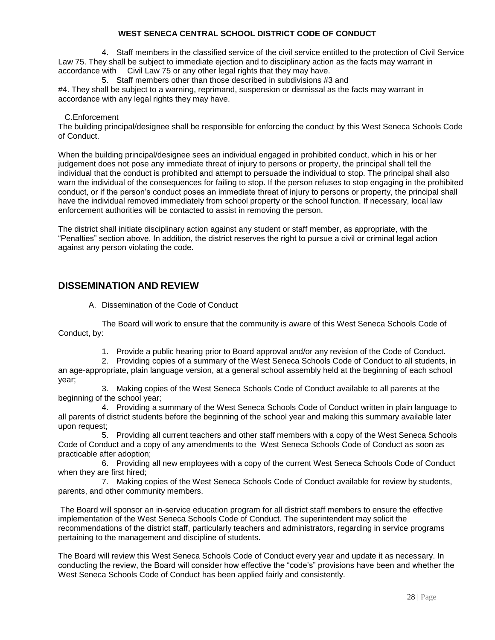4. Staff members in the classified service of the civil service entitled to the protection of Civil Service Law 75. They shall be subject to immediate ejection and to disciplinary action as the facts may warrant in accordance with Civil Law 75 or any other legal rights that they may have.

5. Staff members other than those described in subdivisions #3 and #4. They shall be subject to a warning, reprimand, suspension or dismissal as the facts may warrant in accordance with any legal rights they may have.

#### C.Enforcement

The building principal/designee shall be responsible for enforcing the conduct by this West Seneca Schools Code of Conduct.

When the building principal/designee sees an individual engaged in prohibited conduct, which in his or her judgement does not pose any immediate threat of injury to persons or property, the principal shall tell the individual that the conduct is prohibited and attempt to persuade the individual to stop. The principal shall also warn the individual of the consequences for failing to stop. If the person refuses to stop engaging in the prohibited conduct, or if the person's conduct poses an immediate threat of injury to persons or property, the principal shall have the individual removed immediately from school property or the school function. If necessary, local law enforcement authorities will be contacted to assist in removing the person.

The district shall initiate disciplinary action against any student or staff member, as appropriate, with the "Penalties" section above. In addition, the district reserves the right to pursue a civil or criminal legal action against any person violating the code.

## **DISSEMINATION AND REVIEW**

A. Dissemination of the Code of Conduct

The Board will work to ensure that the community is aware of this West Seneca Schools Code of Conduct, by:

1. Provide a public hearing prior to Board approval and/or any revision of the Code of Conduct.

2. Providing copies of a summary of the West Seneca Schools Code of Conduct to all students, in an age-appropriate, plain language version, at a general school assembly held at the beginning of each school year;

3. Making copies of the West Seneca Schools Code of Conduct available to all parents at the beginning of the school year;

4. Providing a summary of the West Seneca Schools Code of Conduct written in plain language to all parents of district students before the beginning of the school year and making this summary available later upon request;

5. Providing all current teachers and other staff members with a copy of the West Seneca Schools Code of Conduct and a copy of any amendments to the West Seneca Schools Code of Conduct as soon as practicable after adoption;

6. Providing all new employees with a copy of the current West Seneca Schools Code of Conduct when they are first hired;

7. Making copies of the West Seneca Schools Code of Conduct available for review by students, parents, and other community members.

The Board will sponsor an in-service education program for all district staff members to ensure the effective implementation of the West Seneca Schools Code of Conduct. The superintendent may solicit the recommendations of the district staff, particularly teachers and administrators, regarding in service programs pertaining to the management and discipline of students.

The Board will review this West Seneca Schools Code of Conduct every year and update it as necessary. In conducting the review, the Board will consider how effective the "code's" provisions have been and whether the West Seneca Schools Code of Conduct has been applied fairly and consistently.